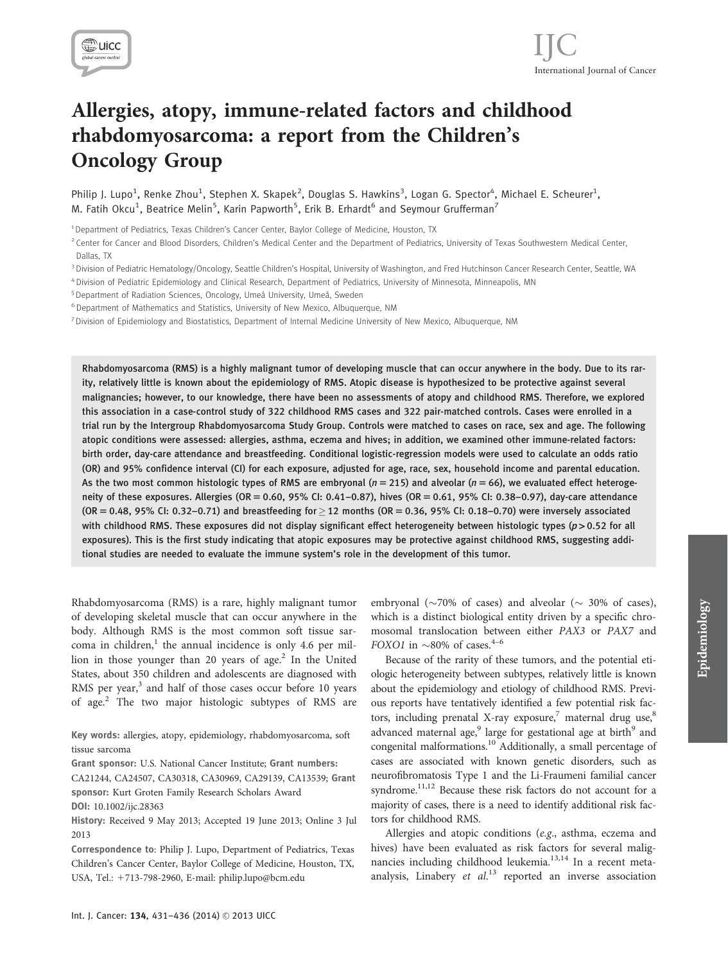

# Allergies, atopy, immune-related factors and childhood rhabdomyosarcoma: a report from the Children's Oncology Group

Philip J. Lupo<sup>1</sup>, Renke Zhou<sup>1</sup>, Stephen X. Skapek<sup>2</sup>, Douglas S. Hawkins<sup>3</sup>, Logan G. Spector<sup>4</sup>, Michael E. Scheurer<sup>1</sup>, M. Fatih Okcu<sup>1</sup>, Beatrice Melin<sup>5</sup>, Karin Papworth<sup>5</sup>, Erik B. Erhardt<sup>6</sup> and Seymour Grufferman<sup>7</sup>

<sup>1</sup> Department of Pediatrics, Texas Children's Cancer Center, Baylor College of Medicine, Houston, TX

<sup>2</sup> Center for Cancer and Blood Disorders, Children's Medical Center and the Department of Pediatrics, University of Texas Southwestern Medical Center, Dallas, TX

<sup>3</sup> Division of Pediatric Hematology/Oncology, Seattle Children's Hospital, University of Washington, and Fred Hutchinson Cancer Research Center, Seattle, WA

<sup>4</sup> Division of Pediatric Epidemiology and Clinical Research, Department of Pediatrics, University of Minnesota, Minneapolis, MN

<sup>5</sup> Department of Radiation Sciences, Oncology, Umeå University, Umeå, Sweden

<sup>6</sup> Department of Mathematics and Statistics, University of New Mexico, Albuquerque, NM

<sup>7</sup> Division of Epidemiology and Biostatistics, Department of Internal Medicine University of New Mexico, Albuquerque, NM

Rhabdomyosarcoma (RMS) is a highly malignant tumor of developing muscle that can occur anywhere in the body. Due to its rarity, relatively little is known about the epidemiology of RMS. Atopic disease is hypothesized to be protective against several malignancies; however, to our knowledge, there have been no assessments of atopy and childhood RMS. Therefore, we explored this association in a case-control study of 322 childhood RMS cases and 322 pair-matched controls. Cases were enrolled in a trial run by the Intergroup Rhabdomyosarcoma Study Group. Controls were matched to cases on race, sex and age. The following atopic conditions were assessed: allergies, asthma, eczema and hives; in addition, we examined other immune-related factors: birth order, day-care attendance and breastfeeding. Conditional logistic-regression models were used to calculate an odds ratio (OR) and 95% confidence interval (CI) for each exposure, adjusted for age, race, sex, household income and parental education. As the two most common histologic types of RMS are embryonal ( $n = 215$ ) and alveolar ( $n = 66$ ), we evaluated effect heterogeneity of these exposures. Allergies (OR = 0.60, 95% CI: 0.41-0.87), hives (OR = 0.61, 95% CI: 0.38-0.97), day-care attendance (OR = 0.48, 95% CI: 0.32–0.71) and breastfeeding for  $\geq$  12 months (OR = 0.36, 95% CI: 0.18–0.70) were inversely associated with childhood RMS. These exposures did not display significant effect heterogeneity between histologic types ( $p > 0.52$  for all exposures). This is the first study indicating that atopic exposures may be protective against childhood RMS, suggesting additional studies are needed to evaluate the immune system's role in the development of this tumor.

Rhabdomyosarcoma (RMS) is a rare, highly malignant tumor of developing skeletal muscle that can occur anywhere in the body. Although RMS is the most common soft tissue sarcoma in children, $\frac{1}{1}$  the annual incidence is only 4.6 per million in those younger than 20 years of age.<sup>2</sup> In the United States, about 350 children and adolescents are diagnosed with RMS per year,<sup>3</sup> and half of those cases occur before 10 years of age.<sup>2</sup> The two major histologic subtypes of RMS are

Key words: allergies, atopy, epidemiology, rhabdomyosarcoma, soft tissue sarcoma

Grant sponsor: U.S. National Cancer Institute; Grant numbers:

CA21244, CA24507, CA30318, CA30969, CA29139, CA13539; Grant sponsor: Kurt Groten Family Research Scholars Award

DOI: 10.1002/ijc.28363

History: Received 9 May 2013; Accepted 19 June 2013; Online 3 Jul 2013

Correspondence to: Philip J. Lupo, Department of Pediatrics, Texas Children's Cancer Center, Baylor College of Medicine, Houston, TX, USA, Tel.: +713-798-2960, E-mail: philip.lupo@bcm.edu

embryonal ( $\sim$ 70% of cases) and alveolar ( $\sim$  30% of cases), which is a distinct biological entity driven by a specific chromosomal translocation between either PAX3 or PAX7 and FOXO1 in  $\sim$ 80% of cases.<sup>4–6</sup>

Because of the rarity of these tumors, and the potential etiologic heterogeneity between subtypes, relatively little is known about the epidemiology and etiology of childhood RMS. Previous reports have tentatively identified a few potential risk factors, including prenatal X-ray exposure,<sup>7</sup> maternal drug use, $8$ advanced maternal age,<sup>9</sup> large for gestational age at birth<sup>9</sup> and congenital malformations.10 Additionally, a small percentage of cases are associated with known genetic disorders, such as neurofibromatosis Type 1 and the Li-Fraumeni familial cancer syndrome.<sup>11,12</sup> Because these risk factors do not account for a majority of cases, there is a need to identify additional risk factors for childhood RMS.

Allergies and atopic conditions (e.g., asthma, eczema and hives) have been evaluated as risk factors for several malignancies including childhood leukemia. $13,14$  In a recent metaanalysis, Linabery et  $al$ .<sup>13</sup> reported an inverse association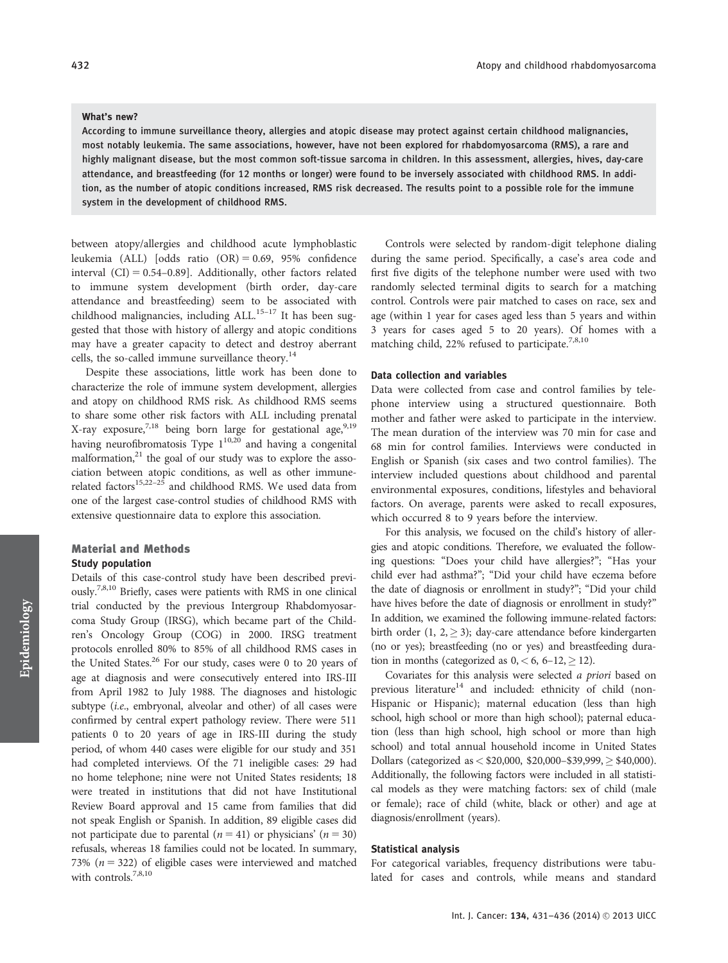## What's new?

According to immune surveillance theory, allergies and atopic disease may protect against certain childhood malignancies, most notably leukemia. The same associations, however, have not been explored for rhabdomyosarcoma (RMS), a rare and highly malignant disease, but the most common soft-tissue sarcoma in children. In this assessment, allergies, hives, day-care attendance, and breastfeeding (for 12 months or longer) were found to be inversely associated with childhood RMS. In addition, as the number of atopic conditions increased, RMS risk decreased. The results point to a possible role for the immune system in the development of childhood RMS.

between atopy/allergies and childhood acute lymphoblastic leukemia (ALL) [odds ratio  $(OR) = 0.69$ , 95% confidence interval  $(CI) = 0.54-0.89$ . Additionally, other factors related to immune system development (birth order, day-care attendance and breastfeeding) seem to be associated with childhood malignancies, including  $ALL<sup>15-17</sup>$  It has been suggested that those with history of allergy and atopic conditions may have a greater capacity to detect and destroy aberrant cells, the so-called immune surveillance theory.<sup>14</sup>

Despite these associations, little work has been done to characterize the role of immune system development, allergies and atopy on childhood RMS risk. As childhood RMS seems to share some other risk factors with ALL including prenatal X-ray exposure,<sup>7,18</sup> being born large for gestational age,<sup>9,19</sup> having neurofibromatosis Type  $1^{10,20}$  and having a congenital malformation, $21$  the goal of our study was to explore the association between atopic conditions, as well as other immunerelated factors<sup>15,22-25</sup> and childhood RMS. We used data from one of the largest case-control studies of childhood RMS with extensive questionnaire data to explore this association.

## Material and Methods Study population

Details of this case-control study have been described previously.7,8,10 Briefly, cases were patients with RMS in one clinical trial conducted by the previous Intergroup Rhabdomyosarcoma Study Group (IRSG), which became part of the Children's Oncology Group (COG) in 2000. IRSG treatment protocols enrolled 80% to 85% of all childhood RMS cases in the United States.<sup>26</sup> For our study, cases were 0 to 20 years of age at diagnosis and were consecutively entered into IRS-III from April 1982 to July 1988. The diagnoses and histologic subtype (*i.e.*, embryonal, alveolar and other) of all cases were confirmed by central expert pathology review. There were 511 patients 0 to 20 years of age in IRS-III during the study period, of whom 440 cases were eligible for our study and 351 had completed interviews. Of the 71 ineligible cases: 29 had no home telephone; nine were not United States residents; 18 were treated in institutions that did not have Institutional Review Board approval and 15 came from families that did not speak English or Spanish. In addition, 89 eligible cases did not participate due to parental ( $n = 41$ ) or physicians' ( $n = 30$ ) refusals, whereas 18 families could not be located. In summary, 73% ( $n = 322$ ) of eligible cases were interviewed and matched with controls.<sup>7,8,10</sup>

Controls were selected by random-digit telephone dialing during the same period. Specifically, a case's area code and first five digits of the telephone number were used with two randomly selected terminal digits to search for a matching control. Controls were pair matched to cases on race, sex and age (within 1 year for cases aged less than 5 years and within 3 years for cases aged 5 to 20 years). Of homes with a matching child, 22% refused to participate.<sup>7,8,10</sup>

## Data collection and variables

Data were collected from case and control families by telephone interview using a structured questionnaire. Both mother and father were asked to participate in the interview. The mean duration of the interview was 70 min for case and 68 min for control families. Interviews were conducted in English or Spanish (six cases and two control families). The interview included questions about childhood and parental environmental exposures, conditions, lifestyles and behavioral factors. On average, parents were asked to recall exposures, which occurred 8 to 9 years before the interview.

For this analysis, we focused on the child's history of allergies and atopic conditions. Therefore, we evaluated the following questions: "Does your child have allergies?"; "Has your child ever had asthma?"; "Did your child have eczema before the date of diagnosis or enrollment in study?"; "Did your child have hives before the date of diagnosis or enrollment in study?" In addition, we examined the following immune-related factors: birth order  $(1, 2, \geq 3)$ ; day-care attendance before kindergarten (no or yes); breastfeeding (no or yes) and breastfeeding duration in months (categorized as  $0, < 6, 6-12, \ge 12$ ).

Covariates for this analysis were selected a priori based on previous literature<sup>14</sup> and included: ethnicity of child (non-Hispanic or Hispanic); maternal education (less than high school, high school or more than high school); paternal education (less than high school, high school or more than high school) and total annual household income in United States Dollars (categorized as  $<$  \$20,000, \$20,000-\$39,999,  $\geq$  \$40,000). Additionally, the following factors were included in all statistical models as they were matching factors: sex of child (male or female); race of child (white, black or other) and age at diagnosis/enrollment (years).

### Statistical analysis

For categorical variables, frequency distributions were tabulated for cases and controls, while means and standard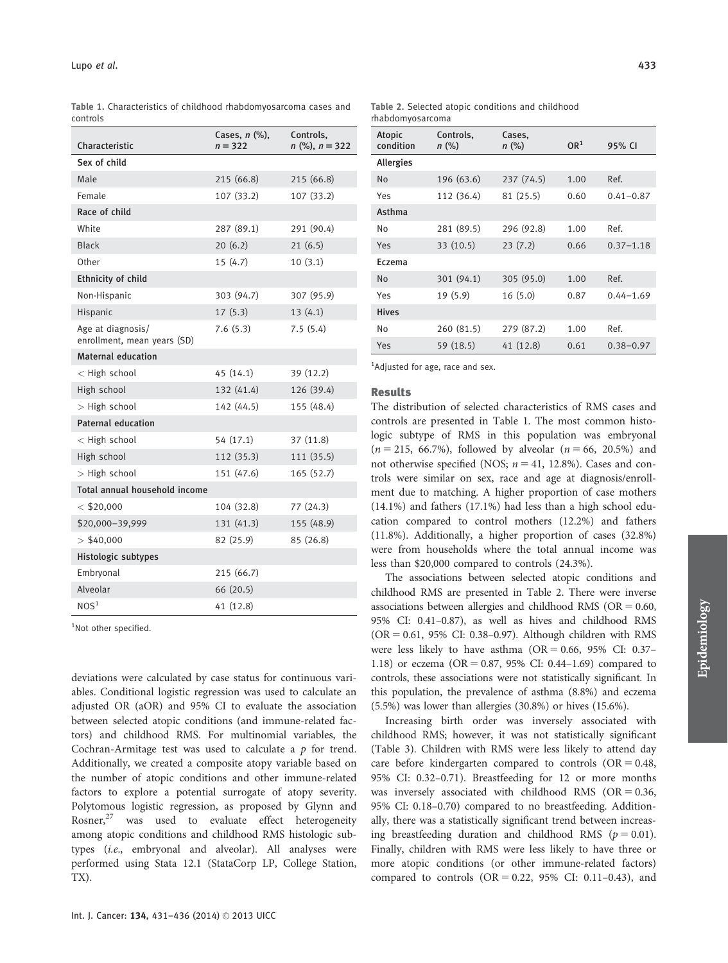| Characteristic                                   | Cases, n (%),<br>$n = 322$ | Controls,<br>$n$ (%), $n = 322$ |  |  |
|--------------------------------------------------|----------------------------|---------------------------------|--|--|
| Sex of child                                     |                            |                                 |  |  |
| Male                                             | 215 (66.8)                 | 215 (66.8)                      |  |  |
| Female                                           | 107 (33.2)                 | 107 (33.2)                      |  |  |
| Race of child                                    |                            |                                 |  |  |
| White                                            | 287 (89.1)                 | 291 (90.4)                      |  |  |
| <b>Black</b>                                     | 20(6.2)                    | 21(6.5)                         |  |  |
| Other                                            | 15(4.7)                    | 10(3.1)                         |  |  |
| Ethnicity of child                               |                            |                                 |  |  |
| Non-Hispanic                                     | 303 (94.7)                 | 307 (95.9)                      |  |  |
| Hispanic                                         | 17(5.3)                    | 13(4.1)                         |  |  |
| Age at diagnosis/<br>enrollment, mean years (SD) | 7.6(5.3)                   | 7.5(5.4)                        |  |  |
| <b>Maternal education</b>                        |                            |                                 |  |  |
| $<$ High school                                  | 45 (14.1)                  | 39 (12.2)                       |  |  |
| High school                                      | 132 (41.4)                 | 126 (39.4)                      |  |  |
| $>$ High school                                  | 142 (44.5)                 | 155 (48.4)                      |  |  |
| <b>Paternal education</b>                        |                            |                                 |  |  |
| $<$ High school                                  | 54 (17.1)                  | 37 (11.8)                       |  |  |
| High school                                      | 112 (35.3)                 | 111 (35.5)                      |  |  |
| $>$ High school                                  | 151 (47.6)                 | 165 (52.7)                      |  |  |
| Total annual household income                    |                            |                                 |  |  |
| $<$ \$20,000                                     | 104 (32.8)                 | 77 (24.3)                       |  |  |
| \$20,000-39,999                                  | 131 (41.3)                 | 155 (48.9)                      |  |  |
| $>$ \$40,000                                     | 82 (25.9)                  | 85 (26.8)                       |  |  |
| <b>Histologic subtypes</b>                       |                            |                                 |  |  |
| Embryonal                                        | 215 (66.7)                 |                                 |  |  |
| Alveolar                                         | 66 (20.5)                  |                                 |  |  |
| NOS <sup>1</sup>                                 | 41 (12.8)                  |                                 |  |  |

Table 1. Characteristics of childhood rhabdomyosarcoma cases and controls

<sup>1</sup>Not other specified.

deviations were calculated by case status for continuous variables. Conditional logistic regression was used to calculate an adjusted OR (aOR) and 95% CI to evaluate the association between selected atopic conditions (and immune-related factors) and childhood RMS. For multinomial variables, the Cochran-Armitage test was used to calculate a  $p$  for trend. Additionally, we created a composite atopy variable based on the number of atopic conditions and other immune-related factors to explore a potential surrogate of atopy severity. Polytomous logistic regression, as proposed by Glynn and Rosner, $27$  was used to evaluate effect heterogeneity among atopic conditions and childhood RMS histologic subtypes (i.e., embryonal and alveolar). All analyses were performed using Stata 12.1 (StataCorp LP, College Station, TX).

| Atopic<br>condition | Controls,<br>$n$ (%) | Cases,<br>$n$ (%) | OR <sup>1</sup> | 95% CI        |
|---------------------|----------------------|-------------------|-----------------|---------------|
| <b>Allergies</b>    |                      |                   |                 |               |
| N <sub>o</sub>      | 196 (63.6)           | 237 (74.5)        | 1.00            | Ref.          |
| Yes                 | 112 (36.4)           | 81 (25.5)         | 0.60            | $0.41 - 0.87$ |
| Asthma              |                      |                   |                 |               |
| No                  | 281 (89.5)           | 296 (92.8)        | 1.00            | Ref.          |
| Yes                 | 33(10.5)             | 23(7.2)           | 0.66            | $0.37 - 1.18$ |
| Eczema              |                      |                   |                 |               |
| N <sub>o</sub>      | 301 (94.1)           | 305 (95.0)        | 1.00            | Ref.          |
| Yes                 | 19 (5.9)             | 16(5.0)           | 0.87            | $0.44 - 1.69$ |
| <b>Hives</b>        |                      |                   |                 |               |
| No                  | 260 (81.5)           | 279 (87.2)        | 1.00            | Ref.          |
| Yes                 | 59 (18.5)            | 41 (12.8)         | 0.61            | $0.38 - 0.97$ |
|                     |                      |                   |                 |               |

<sup>1</sup>Adjusted for age, race and sex.

# Results

The distribution of selected characteristics of RMS cases and controls are presented in Table 1. The most common histologic subtype of RMS in this population was embryonal  $(n = 215, 66.7\%)$ , followed by alveolar  $(n = 66, 20.5\%)$  and not otherwise specified (NOS;  $n = 41$ , 12.8%). Cases and controls were similar on sex, race and age at diagnosis/enrollment due to matching. A higher proportion of case mothers (14.1%) and fathers (17.1%) had less than a high school education compared to control mothers (12.2%) and fathers (11.8%). Additionally, a higher proportion of cases (32.8%) were from households where the total annual income was less than \$20,000 compared to controls (24.3%).

The associations between selected atopic conditions and childhood RMS are presented in Table 2. There were inverse associations between allergies and childhood RMS ( $OR = 0.60$ , 95% CI: 0.41–0.87), as well as hives and childhood RMS  $(OR = 0.61, 95\% \text{ CI: } 0.38-0.97)$ . Although children with RMS were less likely to have asthma  $(OR = 0.66, 95\% \text{ CI: } 0.37-$ 1.18) or eczema (OR = 0.87, 95% CI: 0.44–1.69) compared to controls, these associations were not statistically significant. In this population, the prevalence of asthma (8.8%) and eczema (5.5%) was lower than allergies (30.8%) or hives (15.6%).

Increasing birth order was inversely associated with childhood RMS; however, it was not statistically significant (Table 3). Children with RMS were less likely to attend day care before kindergarten compared to controls  $(OR = 0.48,$ 95% CI: 0.32–0.71). Breastfeeding for 12 or more months was inversely associated with childhood RMS ( $OR = 0.36$ , 95% CI: 0.18–0.70) compared to no breastfeeding. Additionally, there was a statistically significant trend between increasing breastfeeding duration and childhood RMS ( $p = 0.01$ ). Finally, children with RMS were less likely to have three or more atopic conditions (or other immune-related factors) compared to controls  $(OR = 0.22, 95\% \text{ CI: } 0.11-0.43)$ , and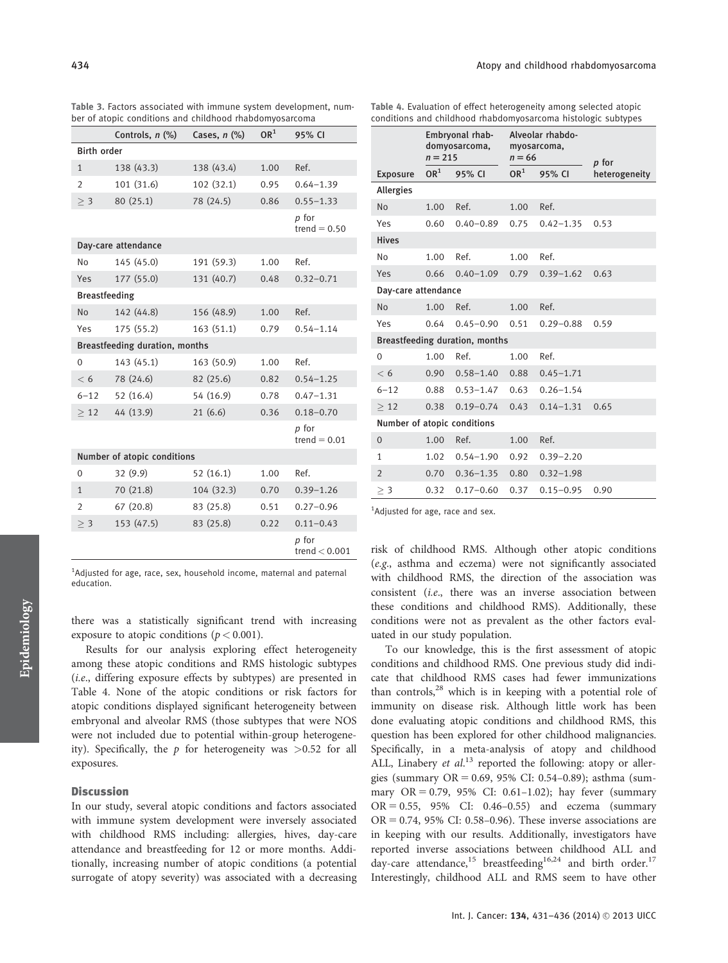Alveolar rhabdo-

|                             | Controls, n (%)                | Cases, $n$ $(\%)$ | OR <sup>1</sup> | 95% CI                    |  |
|-----------------------------|--------------------------------|-------------------|-----------------|---------------------------|--|
| <b>Birth order</b>          |                                |                   |                 |                           |  |
| $\mathbf{1}$                | 138 (43.3)                     | 138 (43.4)        | 1.00            | Ref.                      |  |
| $\overline{2}$              | 101 (31.6)                     | 102 (32.1)        | 0.95            | $0.64 - 1.39$             |  |
| $\geq$ 3                    | 80(25.1)                       | 78 (24.5)         | 0.86            | $0.55 - 1.33$             |  |
|                             |                                |                   |                 | $p$ for<br>trend $= 0.50$ |  |
|                             | Day-care attendance            |                   |                 |                           |  |
| No                          | 145 (45.0)                     | 191 (59.3)        | 1.00            | Ref.                      |  |
| Yes                         | 177 (55.0)                     | 131 (40.7)        | 0.48            | $0.32 - 0.71$             |  |
| <b>Breastfeeding</b>        |                                |                   |                 |                           |  |
| No                          | 142 (44.8)                     | 156 (48.9)        | 1.00            | Ref.                      |  |
| Yes                         | 175 (55.2)                     | 163(51.1)         | 0.79            | $0.54 - 1.14$             |  |
|                             | Breastfeeding duration, months |                   |                 |                           |  |
| $\mathbf 0$                 | 143 (45.1)                     | 163 (50.9)        | 1.00            | Ref.                      |  |
| < 6                         | 78 (24.6)                      | 82 (25.6)         | 0.82            | $0.54 - 1.25$             |  |
| $6 - 12$                    | 52 (16.4)                      | 54 (16.9)         | 0.78            | $0.47 - 1.31$             |  |
| >12                         | 44 (13.9)                      | 21(6.6)           | 0.36            | $0.18 - 0.70$             |  |
|                             |                                |                   |                 | $p$ for<br>trend $= 0.01$ |  |
| Number of atopic conditions |                                |                   |                 |                           |  |
| $\mathbf 0$                 | 32 (9.9)                       | 52(16.1)          | 1.00            | Ref.                      |  |
| $\mathbf{1}$                | 70 (21.8)                      | 104 (32.3)        | 0.70            | $0.39 - 1.26$             |  |
| $\overline{2}$              | 67(20.8)                       | 83 (25.8)         | 0.51            | $0.27 - 0.96$             |  |
| $\geq$ 3                    | 153 (47.5)                     | 83 (25.8)         | 0.22            | $0.11 - 0.43$             |  |
|                             |                                |                   |                 | p for<br>trend $< 0.001$  |  |

Table 3. Factors associated with immune system development, number of atopic conditions and childhood rhabdomyosarcoma

Table 4. Evaluation of effect heterogeneity among selected atopic conditions and childhood rhabdomyosarcoma histologic subtypes

Embryonal rhab-

|                                | $n = 215$       | domyosarcoma,            | myosarcoma,<br>$n = 66$ |               | p for         |  |
|--------------------------------|-----------------|--------------------------|-------------------------|---------------|---------------|--|
| <b>Exposure</b>                | OR <sup>1</sup> | 95% CI                   | OR <sup>1</sup>         | 95% CI        | heterogeneity |  |
| <b>Allergies</b>               |                 |                          |                         |               |               |  |
| <b>No</b>                      | 1.00            | Ref.                     | 1.00                    | Ref.          |               |  |
| Yes                            | 0.60            | $0.40 - 0.89$            | 0.75                    | $0.42 - 1.35$ | 0.53          |  |
| <b>Hives</b>                   |                 |                          |                         |               |               |  |
| No                             | 1.00            | Ref.                     | 1.00                    | Ref.          |               |  |
| Yes                            | 0.66            | $0.40 - 1.09$            | 0.79                    | $0.39 - 1.62$ | 0.63          |  |
| Day-care attendance            |                 |                          |                         |               |               |  |
| <b>No</b>                      | 1.00            | Ref.                     | 1.00                    | Ref.          |               |  |
| Yes                            | 0.64            | $0.45 - 0.90$            | 0.51                    | $0.29 - 0.88$ | 0.59          |  |
| Breastfeeding duration, months |                 |                          |                         |               |               |  |
| $\Omega$                       | 1.00            | Ref.                     | 1.00                    | Ref.          |               |  |
| < 6                            |                 | $0.90 \quad 0.58 - 1.40$ | 0.88                    | $0.45 - 1.71$ |               |  |
| $6 - 12$                       | 0.88            | $0.53 - 1.47$            | 0.63                    | $0.26 - 1.54$ |               |  |
| >12                            | 0.38            | $0.19 - 0.74$            | 0.43                    | $0.14 - 1.31$ | 0.65          |  |
| Number of atopic conditions    |                 |                          |                         |               |               |  |
| $\overline{0}$                 | 1.00            | Ref.                     | 1.00                    | Ref.          |               |  |
| $\mathbf{1}$                   | 1.02            | $0.54 - 1.90$            | 0.92                    | $0.39 - 2.20$ |               |  |
| $\overline{2}$                 | 0.70            | $0.36 - 1.35$            | 0.80                    | $0.32 - 1.98$ |               |  |
| $\geq$ 3                       | 0.32            | $0.17 - 0.60$            | 0.37                    | $0.15 - 0.95$ | 0.90          |  |

<sup>1</sup>Adjusted for age, race and sex.

risk of childhood RMS. Although other atopic conditions (e.g., asthma and eczema) were not significantly associated with childhood RMS, the direction of the association was consistent (i.e., there was an inverse association between these conditions and childhood RMS). Additionally, these conditions were not as prevalent as the other factors evaluated in our study population.

To our knowledge, this is the first assessment of atopic conditions and childhood RMS. One previous study did indicate that childhood RMS cases had fewer immunizations than controls, $28$  which is in keeping with a potential role of immunity on disease risk. Although little work has been done evaluating atopic conditions and childhood RMS, this question has been explored for other childhood malignancies. Specifically, in a meta-analysis of atopy and childhood ALL, Linabery et al.<sup>13</sup> reported the following: atopy or allergies (summary  $OR = 0.69$ , 95% CI: 0.54-0.89); asthma (summary  $OR = 0.79$ , 95% CI: 0.61-1.02); hay fever (summary  $OR = 0.55$ , 95% CI: 0.46–0.55) and eczema (summary  $OR = 0.74$ , 95% CI: 0.58–0.96). These inverse associations are in keeping with our results. Additionally, investigators have reported inverse associations between childhood ALL and day-care attendance,<sup>15</sup> breastfeeding<sup>16,24</sup> and birth order.<sup>17</sup> Interestingly, childhood ALL and RMS seem to have other

<sup>1</sup>Adjusted for age, race, sex, household income, maternal and paternal education.

there was a statistically significant trend with increasing exposure to atopic conditions ( $p < 0.001$ ).

Results for our analysis exploring effect heterogeneity among these atopic conditions and RMS histologic subtypes (i.e., differing exposure effects by subtypes) are presented in Table 4. None of the atopic conditions or risk factors for atopic conditions displayed significant heterogeneity between embryonal and alveolar RMS (those subtypes that were NOS were not included due to potential within-group heterogeneity). Specifically, the  $p$  for heterogeneity was  $>0.52$  for all exposures.

## **Discussion**

In our study, several atopic conditions and factors associated with immune system development were inversely associated with childhood RMS including: allergies, hives, day-care attendance and breastfeeding for 12 or more months. Additionally, increasing number of atopic conditions (a potential surrogate of atopy severity) was associated with a decreasing

Epidemiology

Epidemiology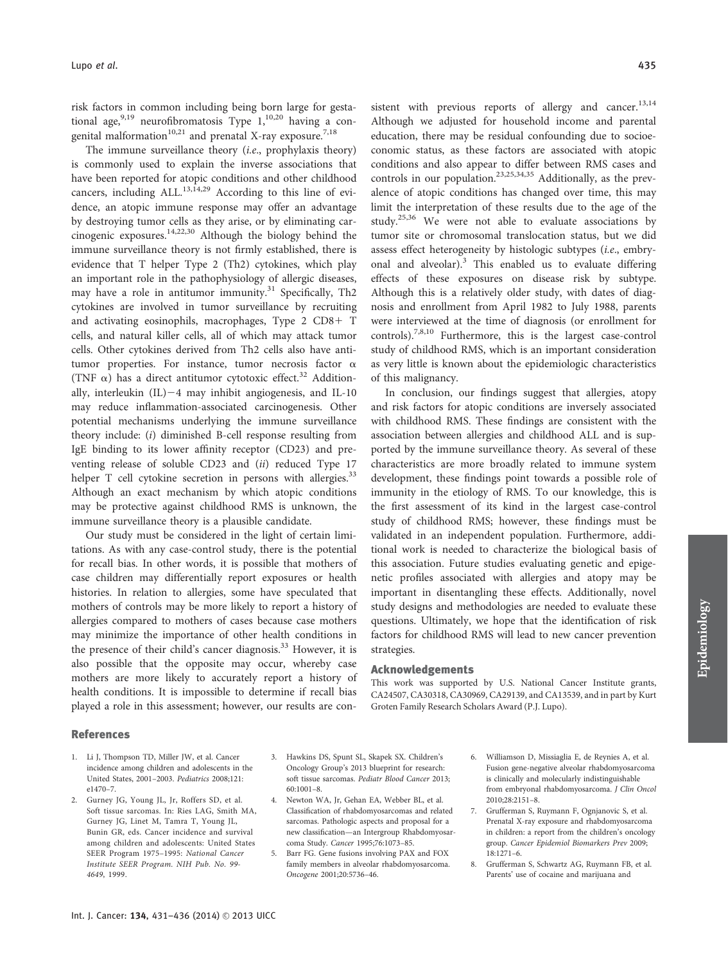risk factors in common including being born large for gestational age,  $9,19$  neurofibromatosis Type  $1,10,20$  having a congenital malformation<sup>10,21</sup> and prenatal X-ray exposure.<sup>7,18</sup>

The immune surveillance theory (i.e., prophylaxis theory) is commonly used to explain the inverse associations that have been reported for atopic conditions and other childhood cancers, including ALL.<sup>13,14,29</sup> According to this line of evidence, an atopic immune response may offer an advantage by destroying tumor cells as they arise, or by eliminating carcinogenic exposures.14,22,30 Although the biology behind the immune surveillance theory is not firmly established, there is evidence that T helper Type 2 (Th2) cytokines, which play an important role in the pathophysiology of allergic diseases, may have a role in antitumor immunity.<sup>31</sup> Specifically, Th<sub>2</sub> cytokines are involved in tumor surveillance by recruiting and activating eosinophils, macrophages, Type  $2$  CD8+ T cells, and natural killer cells, all of which may attack tumor cells. Other cytokines derived from Th2 cells also have antitumor properties. For instance, tumor necrosis factor  $\alpha$ (TNF  $\alpha$ ) has a direct antitumor cytotoxic effect.<sup>32</sup> Additionally, interleukin  $(IL)$  -4 may inhibit angiogenesis, and IL-10 may reduce inflammation-associated carcinogenesis. Other potential mechanisms underlying the immune surveillance theory include: (i) diminished B-cell response resulting from IgE binding to its lower affinity receptor (CD23) and preventing release of soluble CD23 and (ii) reduced Type 17 helper  $T$  cell cytokine secretion in persons with allergies.<sup>33</sup> Although an exact mechanism by which atopic conditions may be protective against childhood RMS is unknown, the immune surveillance theory is a plausible candidate.

Our study must be considered in the light of certain limitations. As with any case-control study, there is the potential for recall bias. In other words, it is possible that mothers of case children may differentially report exposures or health histories. In relation to allergies, some have speculated that mothers of controls may be more likely to report a history of allergies compared to mothers of cases because case mothers may minimize the importance of other health conditions in the presence of their child's cancer diagnosis.<sup>33</sup> However, it is also possible that the opposite may occur, whereby case mothers are more likely to accurately report a history of health conditions. It is impossible to determine if recall bias played a role in this assessment; however, our results are consistent with previous reports of allergy and cancer.<sup>13,14</sup> Although we adjusted for household income and parental education, there may be residual confounding due to socioeconomic status, as these factors are associated with atopic conditions and also appear to differ between RMS cases and controls in our population.<sup>23,25,34,35</sup> Additionally, as the prevalence of atopic conditions has changed over time, this may limit the interpretation of these results due to the age of the study.<sup>25,36</sup> We were not able to evaluate associations by tumor site or chromosomal translocation status, but we did assess effect heterogeneity by histologic subtypes (i.e., embryonal and alveolar). $3$  This enabled us to evaluate differing effects of these exposures on disease risk by subtype. Although this is a relatively older study, with dates of diagnosis and enrollment from April 1982 to July 1988, parents were interviewed at the time of diagnosis (or enrollment for controls).<sup>7,8,10</sup> Furthermore, this is the largest case-control study of childhood RMS, which is an important consideration as very little is known about the epidemiologic characteristics of this malignancy.

In conclusion, our findings suggest that allergies, atopy and risk factors for atopic conditions are inversely associated with childhood RMS. These findings are consistent with the association between allergies and childhood ALL and is supported by the immune surveillance theory. As several of these characteristics are more broadly related to immune system development, these findings point towards a possible role of immunity in the etiology of RMS. To our knowledge, this is the first assessment of its kind in the largest case-control study of childhood RMS; however, these findings must be validated in an independent population. Furthermore, additional work is needed to characterize the biological basis of this association. Future studies evaluating genetic and epigenetic profiles associated with allergies and atopy may be important in disentangling these effects. Additionally, novel study designs and methodologies are needed to evaluate these questions. Ultimately, we hope that the identification of risk factors for childhood RMS will lead to new cancer prevention strategies.

### Acknowledgements

This work was supported by U.S. National Cancer Institute grants, CA24507, CA30318, CA30969, CA29139, and CA13539, and in part by Kurt Groten Family Research Scholars Award (P.J. Lupo).

### References

- 1. Li J, Thompson TD, Miller JW, et al. Cancer incidence among children and adolescents in the United States, 2001–2003. Pediatrics 2008;121: e1470–7.
- 2. Gurney JG, Young JL, Jr, Roffers SD, et al. Soft tissue sarcomas. In: Ries LAG, Smith MA, Gurney JG, Linet M, Tamra T, Young JL, Bunin GR, eds. Cancer incidence and survival among children and adolescents: United States SEER Program 1975–1995: National Cancer Institute SEER Program. NIH Pub. No. 99- 4649, 1999.
- 3. Hawkins DS, Spunt SL, Skapek SX. Children's Oncology Group's 2013 blueprint for research: soft tissue sarcomas. Pediatr Blood Cancer 2013; 60:1001–8.
- 4. Newton WA, Jr, Gehan EA, Webber BL, et al. Classification of rhabdomyosarcomas and related sarcomas. Pathologic aspects and proposal for a new classification—an Intergroup Rhabdomyosarcoma Study. Cancer 1995;76:1073–85.
- 5. Barr FG. Gene fusions involving PAX and FOX family members in alveolar rhabdomyosarcoma. Oncogene 2001;20:5736–46.
- 6. Williamson D, Missiaglia E, de Reynies A, et al. Fusion gene-negative alveolar rhabdomyosarcoma is clinically and molecularly indistinguishable from embryonal rhabdomyosarcoma. J Clin Oncol 2010;28:2151–8.
- 7. Grufferman S, Ruymann F, Ognjanovic S, et al. Prenatal X-ray exposure and rhabdomyosarcoma in children: a report from the children's oncology group. Cancer Epidemiol Biomarkers Prev 2009; 18:1271–6.
- 8. Grufferman S, Schwartz AG, Ruymann FB, et al. Parents' use of cocaine and marijuana and

Epidemiology

Epidemiology